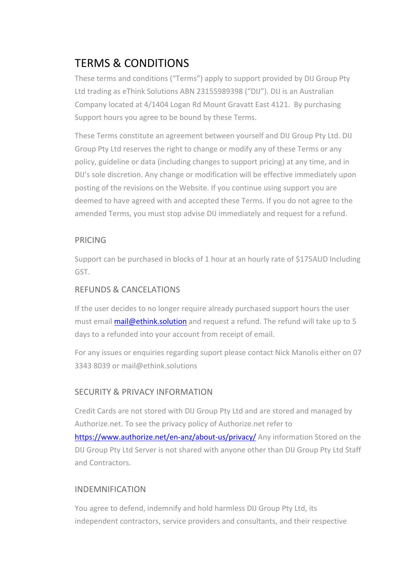# TERMS & CONDITIONS

These terms and conditions ("Terms") apply to support provided by DIJ Group Pty Ltd trading as eThink Solutions ABN 23155989398 ("DIJ"). DIJ is an Australian Company located at 4/1404 Logan Rd Mount Gravatt East 4121. By purchasing Support hours you agree to be bound by these Terms.

These Terms constitute an agreement between yourself and DIJ Group Pty Ltd. DIJ Group Pty Ltd reserves the right to change or modify any of these Terms or any policy, guideline or data (including changes to support pricing) at any time, and in DIJ's sole discretion. Any change or modification will be effective immediately upon posting of the revisions on the Website. If you continue using support you are deemed to have agreed with and accepted these Terms. If you do not agree to the amended Terms, you must stop advise DIJ immediately and request for a refund.

# PRICING

Support can be purchased in blocks of 1 hour at an hourly rate of \$175AUD Including GST.

# REFUNDS & CANCELATIONS

If the user decides to no longer require already purchased support hours the user must email mail@ethink.solution and request a refund. The refund will take up to 5 days to a refunded into your account from receipt of email.

For any issues or enquiries regarding suport please contact Nick Manolis either on 07 3343 8039 or mail@ethink.solutions

# SECURITY & PRIVACY INFORMATION

Credit Cards are not stored with DIJ Group Pty Ltd and are stored and managed by Authorize.net. To see the privacy policy of Authorize.net refer to https://www.authorize.net/en-anz/about-us/privacy/ Any information Stored on the DIJ Group Pty Ltd Server is not shared with anyone other than DIJ Group Pty Ltd Staff and Contractors.

# INDEMNIFICATION

You agree to defend, indemnify and hold harmless DIJ Group Pty Ltd, its independent contractors, service providers and consultants, and their respective